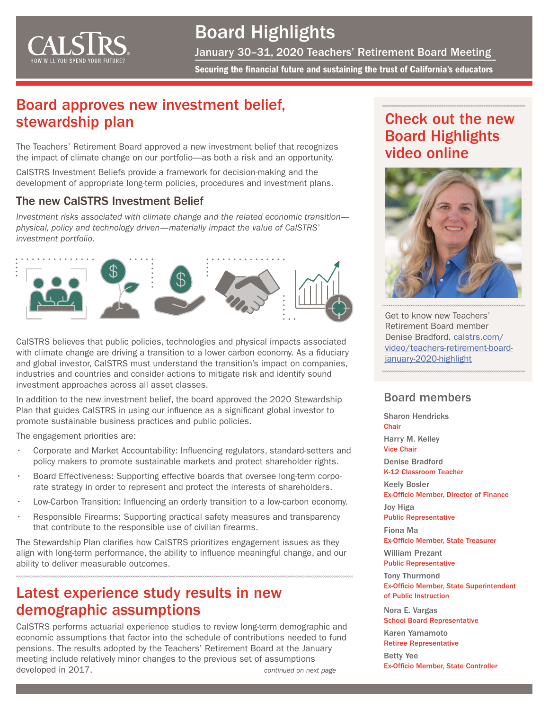

## Board Highlights

January 30–31, 2020 Teachers' Retirement Board Meeting

Securing the financial future and sustaining the trust of California's educators

## Board approves new investment belief, stewardship plan

The Teachers' Retirement Board approved a new investment belief that recognizes the impact of climate change on our portfolio—as both a risk and an opportunity.

CalSTRS Investment Beliefs provide a framework for decision-making and the development of appropriate long-term policies, procedures and investment plans.

### The new CalSTRS Investment Belief

*Investment risks associated with climate change and the related economic transition physical, policy and technology driven—materially impact the value of CalSTRS' investment portfolio*.



CalSTRS believes that public policies, technologies and physical impacts associated with climate change are driving a transition to a lower carbon economy. As a fiduciary and global investor, CalSTRS must understand the transition's impact on companies, industries and countries and consider actions to mitigate risk and identify sound investment approaches across all asset classes.

In addition to the new investment belief, the board approved the 2020 Stewardship Plan that guides CalSTRS in using our influence as a significant global investor to promote sustainable business practices and public policies.

The engagement priorities are:

- Corporate and Market Accountability: Influencing regulators, standard-setters and policy makers to promote sustainable markets and protect shareholder rights.
- Board Effectiveness: Supporting effective boards that oversee long-term corporate strategy in order to represent and protect the interests of shareholders.
- Low-Carbon Transition: Influencing an orderly transition to a low-carbon economy.
- Responsible Firearms: Supporting practical safety measures and transparency that contribute to the responsible use of civilian firearms.

The Stewardship Plan clarifies how CalSTRS prioritizes engagement issues as they align with long-term performance, the ability to influence meaningful change, and our ability to deliver measurable outcomes.

## Latest experience study results in new demographic assumptions

*continued on next page* CalSTRS performs actuarial experience studies to review long-term demographic and economic assumptions that factor into the schedule of contributions needed to fund pensions. The results adopted by the Teachers' Retirement Board at the January meeting include relatively minor changes to the previous set of assumptions developed in 2017.

## Check out the new Board Highlights video online



Get to know new Teachers' Retirement Board member Denise Bradford. [calstrs.com/](http://calstrs.com/video/teachers-retirement-board-january-2020-highlight) [video/teachers-retirement-board](http://calstrs.com/video/teachers-retirement-board-january-2020-highlight)[january-2020-highlight](http://calstrs.com/video/teachers-retirement-board-january-2020-highlight)

#### Board members

Sharon Hendricks **Chair** Harry M. Keiley Vice Chair Denise Bradford K-12 Classroom Teacher Keely Bosler Ex-Officio Member, Director of Finance Joy Higa Public Representative Fiona Ma Ex-Officio Member, State Treasurer William Prezant Public Representative Tony Thurmond Ex-Officio Member, State Superintendent of Public Instruction Nora E. Vargas School Board Representative Karen Yamamoto Retiree Representative

Betty Yee Ex-Officio Member, State Controller